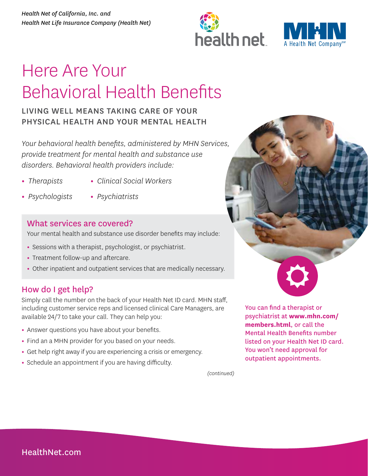



# Here Are Your Behavioral Health Benefits

### LIVING WELL MEANS TAKING CARE OF YOUR PHYSICAL HEALTH AND YOUR MENTAL HEALTH

*Your behavioral health benefits, administered by MHN Services, provide treatment for mental health and substance use disorders. Behavioral health providers include:* 

- **•** *Therapists*
- **•** *Clinical Social Workers*
- **•** *Psychologists*
- **•** *Psychiatrists*

#### What services are covered?

Your mental health and substance use disorder benefits may include:

- **•** Sessions with a therapist, psychologist, or psychiatrist.
- **•** Treatment follow-up and aftercare.
- **•** Other inpatient and outpatient services that are medically necessary.

#### How do I get help?

Simply call the number on the back of your Health Net ID card. MHN staff, including customer service reps and licensed clinical Care Managers, are available 24/7 to take your call. They can help you:

- **•** Answer questions you have about your benefits.
- **•** Find an a MHN provider for you based on your needs.
- **•** Get help right away if you are experiencing a crisis or emergency.
- **•** Schedule an appointment if you are having difficulty.



You can find a therapist or psychiatrist at **www.mhn.com/ [members.html](http://www.mhn.com/members.html)**, or call the Mental Health Benefits number listed on your Health Net ID card. You won't need approval for outpatient appointments.

*(continued)*